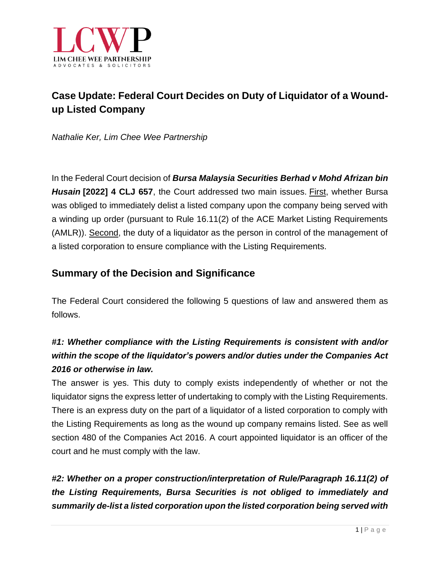

# **Case Update: Federal Court Decides on Duty of Liquidator of a Woundup Listed Company**

*Nathalie Ker, Lim Chee Wee Partnership*

In the Federal Court decision of *Bursa Malaysia Securities Berhad v Mohd Afrizan bin Husain* **[2022] 4 CLJ 657**, the Court addressed two main issues. First, whether Bursa was obliged to immediately delist a listed company upon the company being served with a winding up order (pursuant to Rule 16.11(2) of the ACE Market Listing Requirements (AMLR)). Second, the duty of a liquidator as the person in control of the management of a listed corporation to ensure compliance with the Listing Requirements.

### **Summary of the Decision and Significance**

The Federal Court considered the following 5 questions of law and answered them as follows.

## *#1: Whether compliance with the Listing Requirements is consistent with and/or within the scope of the liquidator's powers and/or duties under the Companies Act 2016 or otherwise in law.*

The answer is yes. This duty to comply exists independently of whether or not the liquidator signs the express letter of undertaking to comply with the Listing Requirements. There is an express duty on the part of a liquidator of a listed corporation to comply with the Listing Requirements as long as the wound up company remains listed. See as well section 480 of the Companies Act 2016. A court appointed liquidator is an officer of the court and he must comply with the law.

*#2: Whether on a proper construction/interpretation of Rule/Paragraph 16.11(2) of the Listing Requirements, Bursa Securities is not obliged to immediately and summarily de-list a listed corporation upon the listed corporation being served with*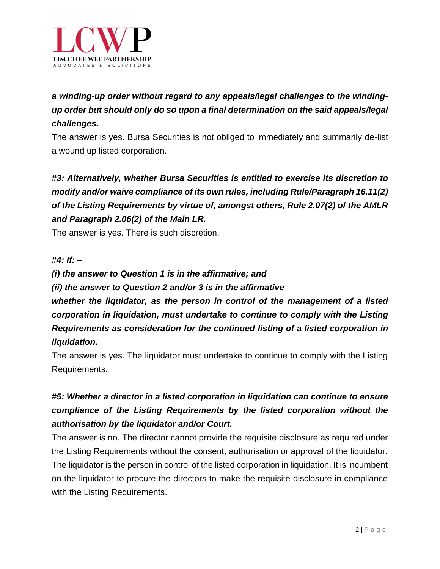

## *a winding-up order without regard to any appeals/legal challenges to the windingup order but should only do so upon a final determination on the said appeals/legal challenges.*

The answer is yes. Bursa Securities is not obliged to immediately and summarily de-list a wound up listed corporation.

# *#3: Alternatively, whether Bursa Securities is entitled to exercise its discretion to modify and/or waive compliance of its own rules, including Rule/Paragraph 16.11(2) of the Listing Requirements by virtue of, amongst others, Rule 2.07(2) of the AMLR and Paragraph 2.06(2) of the Main LR.*

The answer is yes. There is such discretion.

#### *#4: If: –*

#### *(i) the answer to Question 1 is in the affirmative; and*

#### *(ii) the answer to Question 2 and/or 3 is in the affirmative*

*whether the liquidator, as the person in control of the management of a listed corporation in liquidation, must undertake to continue to comply with the Listing Requirements as consideration for the continued listing of a listed corporation in liquidation.*

The answer is yes. The liquidator must undertake to continue to comply with the Listing Requirements.

## *#5: Whether a director in a listed corporation in liquidation can continue to ensure compliance of the Listing Requirements by the listed corporation without the authorisation by the liquidator and/or Court.*

The answer is no. The director cannot provide the requisite disclosure as required under the Listing Requirements without the consent, authorisation or approval of the liquidator. The liquidator is the person in control of the listed corporation in liquidation. It is incumbent on the liquidator to procure the directors to make the requisite disclosure in compliance with the Listing Requirements.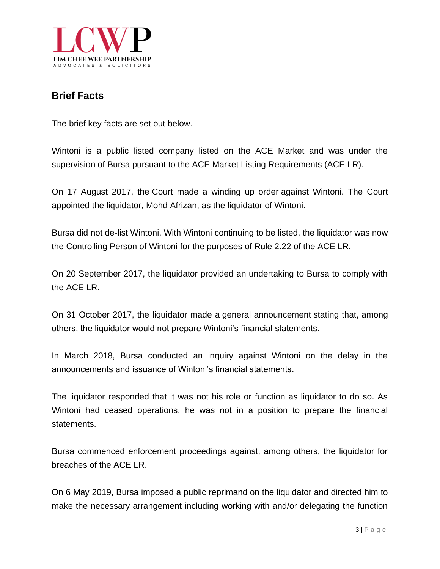

### **Brief Facts**

The brief key facts are set out below.

Wintoni is a public listed company listed on the ACE Market and was under the supervision of Bursa pursuant to the ACE Market Listing Requirements (ACE LR).

On 17 August 2017, the Court made a [winding](https://www.bursamalaysia.com/market_information/announcements/company_announcement/announcement_details?ann_id=2795008) up order against Wintoni. The Court appointed the liquidator, Mohd Afrizan, as the liquidator of Wintoni.

Bursa did not de-list Wintoni. With Wintoni continuing to be listed, the liquidator was now the Controlling Person of Wintoni for the purposes of Rule 2.22 of the ACE LR.

On 20 September 2017, the liquidator provided an undertaking to Bursa to comply with the ACE LR.

On 31 October 2017, the liquidator made a general [announcement](https://www.bursamalaysia.com/market_information/announcements/company_announcement/announcement_details?ann_id=2802039) stating that, among others, the liquidator would not prepare Wintoni's financial statements.

In March 2018, Bursa conducted an inquiry against Wintoni on the delay in the announcements and issuance of Wintoni's financial statements.

The liquidator responded that it was not his role or function as liquidator to do so. As Wintoni had ceased operations, he was not in a position to prepare the financial statements.

Bursa commenced enforcement proceedings against, among others, the liquidator for breaches of the ACE LR.

On 6 May 2019, Bursa imposed a public reprimand on the liquidator and directed him to make the necessary arrangement including working with and/or delegating the function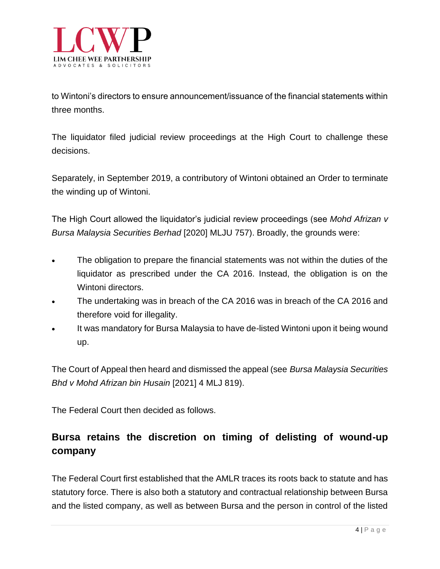

to Wintoni's directors to ensure announcement/issuance of the financial statements within three months.

The liquidator filed judicial review proceedings at the High Court to challenge these decisions.

Separately, in September 2019, a contributory of Wintoni obtained an Order to terminate the winding up of Wintoni.

The High Court allowed the liquidator's judicial review proceedings (see *Mohd Afrizan v Bursa Malaysia Securities Berhad* [2020] MLJU 757). Broadly, the grounds were:

- The obligation to prepare the financial statements was not within the duties of the liquidator as prescribed under the CA 2016. Instead, the obligation is on the Wintoni directors.
- The undertaking was in breach of the CA 2016 was in breach of the CA 2016 and therefore void for illegality.
- It was mandatory for Bursa Malaysia to have de-listed Wintoni upon it being wound up.

The Court of Appeal then heard and dismissed the appeal (see *Bursa Malaysia Securities Bhd v Mohd Afrizan bin Husain* [2021] 4 MLJ 819).

The Federal Court then decided as follows.

## **Bursa retains the discretion on timing of delisting of wound-up company**

The Federal Court first established that the AMLR traces its roots back to statute and has statutory force. There is also both a statutory and contractual relationship between Bursa and the listed company, as well as between Bursa and the person in control of the listed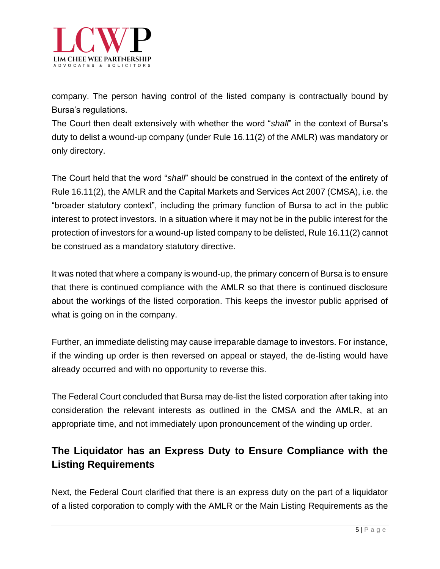

company. The person having control of the listed company is contractually bound by Bursa's regulations.

The Court then dealt extensively with whether the word "*shall*" in the context of Bursa's duty to delist a wound-up company (under Rule 16.11(2) of the AMLR) was mandatory or only directory.

The Court held that the word "*shall*" should be construed in the context of the entirety of Rule 16.11(2), the AMLR and the Capital Markets and Services Act 2007 (CMSA), i.e. the "broader statutory context", including the primary function of Bursa to act in the public interest to protect investors. In a situation where it may not be in the public interest for the protection of investors for a wound-up listed company to be delisted, Rule 16.11(2) cannot be construed as a mandatory statutory directive.

It was noted that where a company is wound-up, the primary concern of Bursa is to ensure that there is continued compliance with the AMLR so that there is continued disclosure about the workings of the listed corporation. This keeps the investor public apprised of what is going on in the company.

Further, an immediate delisting may cause irreparable damage to investors. For instance, if the winding up order is then reversed on appeal or stayed, the de-listing would have already occurred and with no opportunity to reverse this.

The Federal Court concluded that Bursa may de-list the listed corporation after taking into consideration the relevant interests as outlined in the CMSA and the AMLR, at an appropriate time, and not immediately upon pronouncement of the winding up order.

## **The Liquidator has an Express Duty to Ensure Compliance with the Listing Requirements**

Next, the Federal Court clarified that there is an express duty on the part of a liquidator of a listed corporation to comply with the AMLR or the Main Listing Requirements as the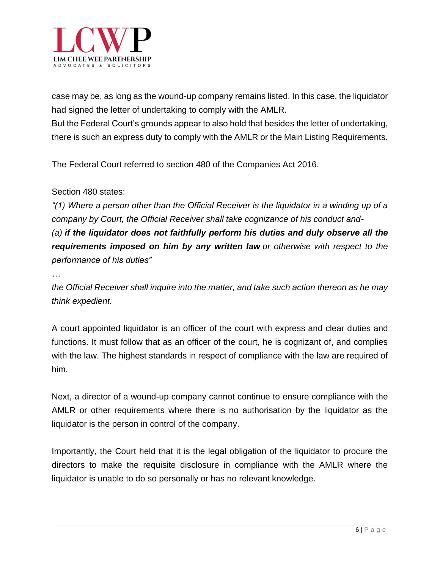

case may be, as long as the wound-up company remains listed. In this case, the liquidator had signed the letter of undertaking to comply with the AMLR.

But the Federal Court's grounds appear to also hold that besides the letter of undertaking, there is such an express duty to comply with the AMLR or the Main Listing Requirements.

The Federal Court referred to section 480 of the Companies Act 2016.

#### Section 480 states:

*"(1) Where a person other than the Official Receiver is the liquidator in a winding up of a company by Court, the Official Receiver shall take cognizance of his conduct and- (a) if the liquidator does not faithfully perform his duties and duly observe all the*

*requirements imposed on him by any written law or otherwise with respect to the performance of his duties"*

*…*

*the Official Receiver shall inquire into the matter, and take such action thereon as he may think expedient.*

A court appointed liquidator is an officer of the court with express and clear duties and functions. It must follow that as an officer of the court, he is cognizant of, and complies with the law. The highest standards in respect of compliance with the law are required of him.

Next, a director of a wound-up company cannot continue to ensure compliance with the AMLR or other requirements where there is no authorisation by the liquidator as the liquidator is the person in control of the company.

Importantly, the Court held that it is the legal obligation of the liquidator to procure the directors to make the requisite disclosure in compliance with the AMLR where the liquidator is unable to do so personally or has no relevant knowledge.